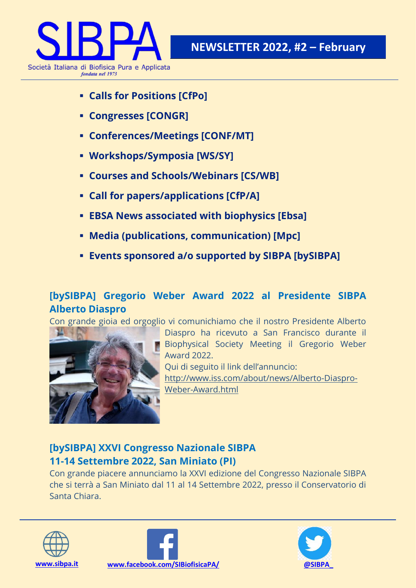

- **Calls for Positions [CfPo]**
- **Congresses [CONGR]**
- **Conferences/Meetings [CONF/MT]**
- **Workshops/Symposia [WS/SY]**
- **Courses and Schools/Webinars [CS/WB]**
- **Call for papers/applications [CfP/A]**
- **EBSA News associated with biophysics [Ebsa]**
- **Media (publications, communication) [Mpc]**
- **Events sponsored a/o supported by SIBPA [bySIBPA]**

#### **[bySIBPA] Gregorio Weber Award 2022 al Presidente SIBPA Alberto Diaspro**

Con grande gioia ed orgoglio vi comunichiamo che il nostro Presidente Alberto



Diaspro ha ricevuto a San Francisco durante il Biophysical Society Meeting il Gregorio Weber Award 2022. Qui di seguito il link dell'annuncio: [http://www.iss.com/about/news/Alberto-Diaspro-](http://www.iss.com/about/news/Alberto-Diaspro-Weber-Award.html)[Weber-Award.html](http://www.iss.com/about/news/Alberto-Diaspro-Weber-Award.html)

# **[bySIBPA] XXVI Congresso Nazionale SIBPA 11-14 Settembre 2022, San Miniato (PI)**

Con grande piacere annunciamo la XXVI edizione del Congresso Nazionale SIBPA che si terrà a San Miniato dal 11 al 14 Settembre 2022, presso il Conservatorio di Santa Chiara.





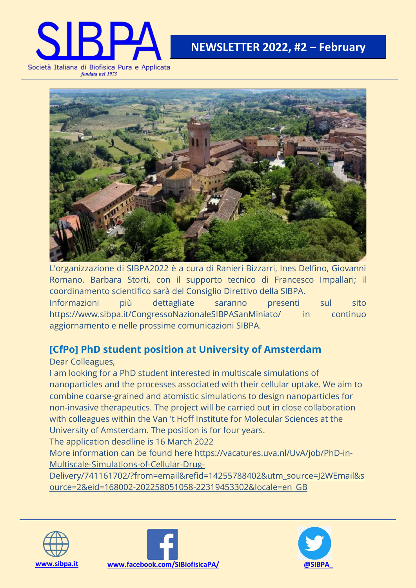

L'organizzazione di SIBPA2022 è a cura di Ranieri Bizzarri, Ines Delfino, Giovanni Romano, Barbara Storti, con il supporto tecnico di Francesco Impallari; il coordinamento scientifico sarà del Consiglio Direttivo della SIBPA.

Informazioni più dettagliate saranno presenti sul sito <https://www.sibpa.it/CongressoNazionaleSIBPASanMiniato/> in continuo aggiornamento e nelle prossime comunicazioni SIBPA.

# **[CfPo] PhD student position at University of Amsterdam**

Dear Colleagues,

I am looking for a PhD student interested in multiscale simulations of nanoparticles and the processes associated with their cellular uptake. We aim to combine coarse-grained and atomistic simulations to design nanoparticles for non-invasive therapeutics. The project will be carried out in close collaboration with colleagues within the Van 't Hoff Institute for Molecular Sciences at the University of Amsterdam. The position is for four years.

The application deadline is 16 March 2022

More information can be found here [https://vacatures.uva.nl/UvA/job/PhD-in-](https://vacatures.uva.nl/UvA/job/PhD-in-Multiscale-Simulations-of-Cellular-Drug-Delivery/741161702/?from=email&refid=14255788402&utm_source=J2WEmail&source=2&eid=168002-202258051058-22319453302&locale=en_GB)[Multiscale-Simulations-of-Cellular-Drug-](https://vacatures.uva.nl/UvA/job/PhD-in-Multiscale-Simulations-of-Cellular-Drug-Delivery/741161702/?from=email&refid=14255788402&utm_source=J2WEmail&source=2&eid=168002-202258051058-22319453302&locale=en_GB)

[Delivery/741161702/?from=email&refid=14255788402&utm\\_source=J2WEmail&s](https://vacatures.uva.nl/UvA/job/PhD-in-Multiscale-Simulations-of-Cellular-Drug-Delivery/741161702/?from=email&refid=14255788402&utm_source=J2WEmail&source=2&eid=168002-202258051058-22319453302&locale=en_GB) [ource=2&eid=168002-202258051058-22319453302&locale=en\\_GB](https://vacatures.uva.nl/UvA/job/PhD-in-Multiscale-Simulations-of-Cellular-Drug-Delivery/741161702/?from=email&refid=14255788402&utm_source=J2WEmail&source=2&eid=168002-202258051058-22319453302&locale=en_GB)





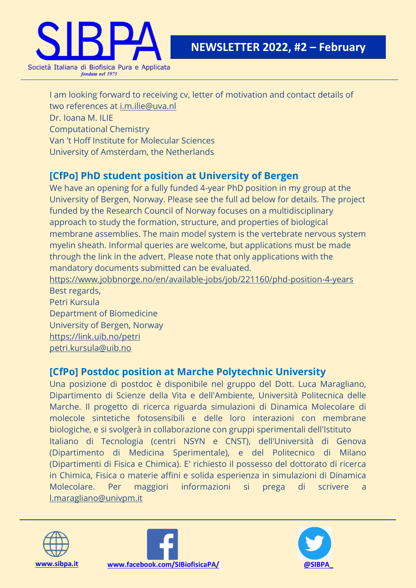

I am looking forward to receiving cv, letter of motivation and contact details of two references at [i.m.ilie@uva.nl](mailto:i.m.ilie@uva.nl) Dr. Ioana M. ILIE Computational Chemistry Van 't Hoff Institute for Molecular Sciences University of Amsterdam, the Netherlands

## **[CfPo] PhD student position at University of Bergen**

We have an opening for a fully funded 4-year PhD position in my group at the University of Bergen, Norway. Please see the full ad below for details. The project funded by the Research Council of Norway focuses on a multidisciplinary approach to study the formation, structure, and properties of biological membrane assemblies. The main model system is the vertebrate nervous system myelin sheath. Informal queries are welcome, but applications must be made through the link in the advert. Please note that only applications with the mandatory documents submitted can be evaluated. <https://www.jobbnorge.no/en/available-jobs/job/221160/phd-position-4-years>

Best regards, Petri Kursula Department of Biomedicine University of Bergen, Norway <https://link.uib.no/petri> [petri.kursula@uib.no](mailto:petri.kursula@uib.no)

## **[CfPo] Postdoc position at Marche Polytechnic University**

Una posizione di postdoc è disponibile nel gruppo del Dott. Luca Maragliano, Dipartimento di Scienze della Vita e dell'Ambiente, Università Politecnica delle Marche. Il progetto di ricerca riguarda simulazioni di Dinamica Molecolare di molecole sintetiche fotosensibili e delle loro interazioni con membrane biologiche, e si svolgerà in collaborazione con gruppi sperimentali dell'Istituto Italiano di Tecnologia (centri NSYN e CNST), dell'Università di Genova (Dipartimento di Medicina Sperimentale), e del Politecnico di Milano (Dipartimenti di Fisica e Chimica). E' richiesto il possesso del dottorato di ricerca in Chimica, Fisica o materie affini e solida esperienza in simulazioni di Dinamica Molecolare. Per maggiori informazioni si prega di scrivere a [l.maragliano@univpm.it](mailto:l.maragliano@univpm.it)





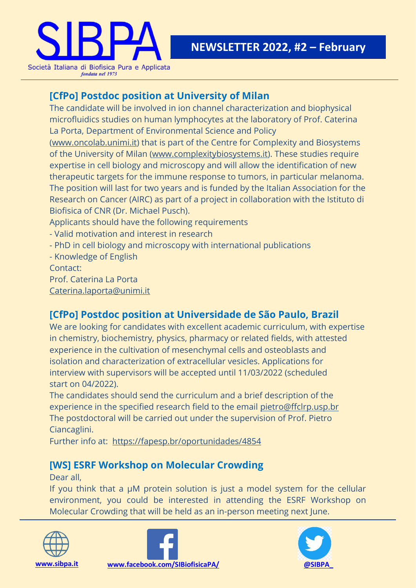

## **[CfPo] Postdoc position at University of Milan**

The candidate will be involved in ion channel characterization and biophysical microfluidics studies on human lymphocytes at the laboratory of Prof. Caterina La Porta, Department of Environmental Science and Policy

[\(www.oncolab.unimi.it\)](http://www.oncolab.unimi.it/) that is part of the Centre for Complexity and Biosystems of the University of Milan [\(www.complexitybiosystems.it\)](http://www.complexitybiosystems.it/). These studies require expertise in cell biology and microscopy and will allow the identification of new therapeutic targets for the immune response to tumors, in particular melanoma. The position will last for two years and is funded by the Italian Association for the Research on Cancer (AIRC) as part of a project in collaboration with the Istituto di Biofisica of CNR (Dr. Michael Pusch).

Applicants should have the following requirements

- Valid motivation and interest in research
- PhD in cell biology and microscopy with international publications
- Knowledge of English

Contact:

Prof. Caterina La Porta

[Caterina.laporta@unimi.it](mailto:Caterina.laporta@unimi.it)

#### **[CfPo] Postdoc position at Universidade de São Paulo, Brazil**

We are looking for candidates with excellent academic curriculum, with expertise in chemistry, biochemistry, physics, pharmacy or related fields, with attested experience in the cultivation of mesenchymal cells and osteoblasts and isolation and characterization of extracellular vesicles. Applications for interview with supervisors will be accepted until 11/03/2022 (scheduled start on 04/2022).

The candidates should send the curriculum and a brief description of the experience in the specified research field to the email [pietro@ffclrp.usp.br](mailto:pietro@ffclrp.usp.br) The postdoctoral will be carried out under the supervision of Prof. Pietro Ciancaglini.

Further info at: <https://fapesp.br/oportunidades/4854>

#### **[WS] ESRF Workshop on Molecular Crowding**

Dear all,

If you think that a µM protein solution is just a model system for the cellular environment, you could be interested in attending the ESRF Workshop on Molecular Crowding that will be held as an in-person meeting next June.